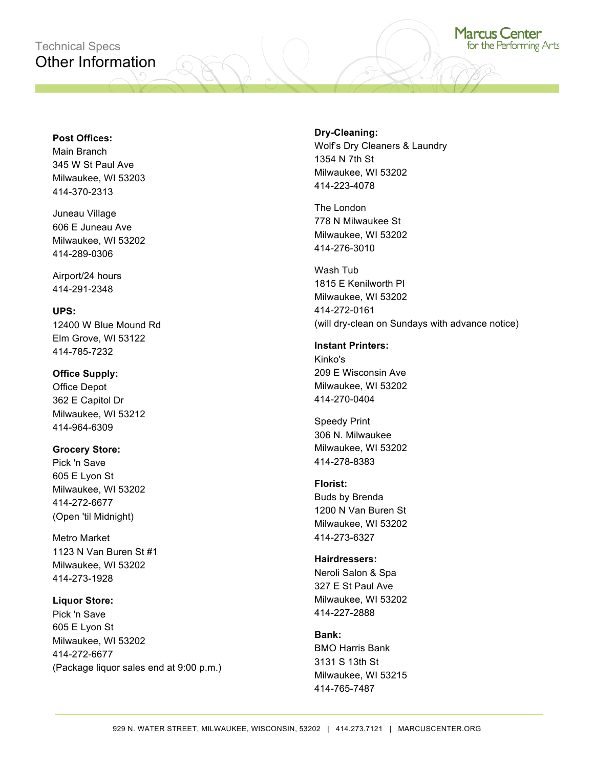# Technical Specs Other Information

# **Post Offices:**

Main Branch 345 W St Paul Ave Milwaukee, WI 53203 414-370-2313

Juneau Village 606 E Juneau Ave Milwaukee, WI 53202 414-289-0306

Airport/24 hours 414-291-2348

# **UPS:**

12400 W Blue Mound Rd Elm Grove, WI 53122 414-785-7232

# **Office Supply:**

Office Depot 362 E Capitol Dr Milwaukee, WI 53212 414-964-6309

#### **Grocery Store:**

Pick 'n Save 605 E Lyon St Milwaukee, WI 53202 414-272-6677 (Open 'til Midnight)

Metro Market 1123 N Van Buren St #1 Milwaukee, WI 53202 414-273-1928

#### **Liquor Store:**

Pick 'n Save 605 E Lyon St Milwaukee, WI 53202 414-272-6677 (Package liquor sales end at 9:00 p.m.)

# **Dry-Cleaning:**

Wolf's Dry Cleaners & Laundry 1354 N 7th St Milwaukee, WI 53202 414-223-4078

The London 778 N Milwaukee St Milwaukee, WI 53202 414-276-3010

Wash Tub 1815 E Kenilworth Pl Milwaukee, WI 53202 414-272-0161 (will dry-clean on Sundays with advance notice)

#### **Instant Printers:**

Kinko's 209 E Wisconsin Ave Milwaukee, WI 53202 414-270-0404

Speedy Print 306 N. Milwaukee Milwaukee, WI 53202 414-278-8383

# **Florist:** Buds by Brenda 1200 N Van Buren St Milwaukee, WI 53202 414-273-6327

**Hairdressers:** Neroli Salon & Spa 327 E St Paul Ave Milwaukee, WI 53202 414-227-2888

# **Bank:**

BMO Harris Bank 3131 S 13th St Milwaukee, WI 53215 414-765-7487